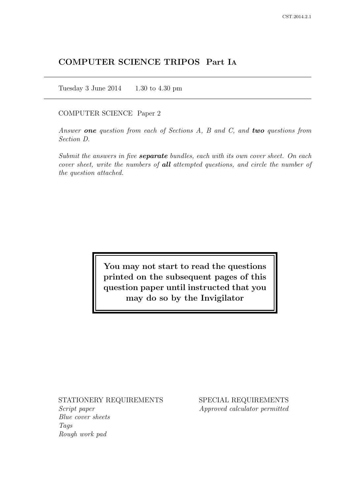# COMPUTER SCIENCE TRIPOS Part IA

Tuesday 3 June 2014 1.30 to 4.30 pm

### COMPUTER SCIENCE Paper 2

Answer one question from each of Sections  $A$ ,  $B$  and  $C$ , and two questions from Section D.

Submit the answers in five **separate** bundles, each with its own cover sheet. On each cover sheet, write the numbers of **all** attempted questions, and circle the number of the question attached.

> You may not start to read the questions printed on the subsequent pages of this question paper until instructed that you may do so by the Invigilator

## STATIONERY REQUIREMENTS

Script paper Blue cover sheets Tags Rough work pad

SPECIAL REQUIREMENTS Approved calculator permitted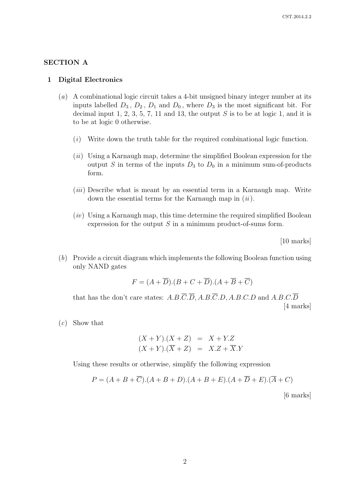## SECTION A

#### 1 Digital Electronics

- (a) A combinational logic circuit takes a 4-bit unsigned binary integer number at its inputs labelled  $D_3$ ,  $D_2$ ,  $D_1$  and  $D_0$ , where  $D_3$  is the most significant bit. For decimal input 1, 2, 3, 5, 7, 11 and 13, the output  $S$  is to be at logic 1, and it is to be at logic 0 otherwise.
	- (i) Write down the truth table for the required combinational logic function.
	- (ii) Using a Karnaugh map, determine the simplified Boolean expression for the output S in terms of the inputs  $D_3$  to  $D_0$  in a minimum sum-of-products form.
	- $(iii)$  Describe what is meant by an essential term in a Karnaugh map. Write down the essential terms for the Karnaugh map in  $(ii)$ .
	- $(iv)$  Using a Karnaugh map, this time determine the required simplified Boolean expression for the output  $S$  in a minimum product-of-sums form.

[10 marks]

(b) Provide a circuit diagram which implements the following Boolean function using only NAND gates

$$
F = (A + \overline{D}).(B + C + \overline{D}).(A + \overline{B} + \overline{C})
$$

that has the don't care states:  $A.B.\overline{C}.\overline{D}$ ,  $A.B.\overline{C}.\overline{D}$ ,  $A.B.C.D$  and  $A.B.C.\overline{D}$ [4 marks]

 $(c)$  Show that

$$
(X + Y) \cdot (X + Z) = X + Y \cdot Z
$$
  

$$
(X + Y) \cdot (\overline{X} + Z) = X \cdot Z + \overline{X} \cdot Y
$$

Using these results or otherwise, simplify the following expression

$$
P = (A + B + \overline{C}).(A + B + D).(A + B + E).(A + \overline{D} + E).(\overline{A} + C)
$$

[6 marks]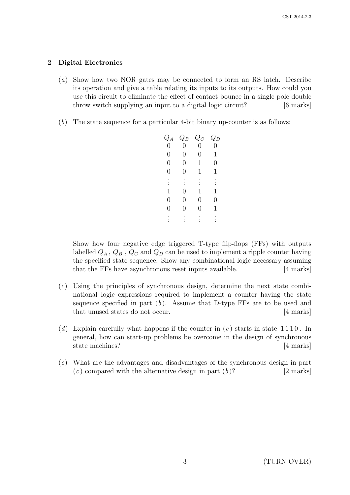# 2 Digital Electronics

- (a) Show how two NOR gates may be connected to form an RS latch. Describe its operation and give a table relating its inputs to its outputs. How could you use this circuit to eliminate the effect of contact bounce in a single pole double throw switch supplying an input to a digital logic circuit? [6 marks]
- (b) The state sequence for a particular 4-bit binary up-counter is as follows:

| $Q_A$          | $Q_B$          | $Q_C$          | $Q_D$          |
|----------------|----------------|----------------|----------------|
| $\overline{0}$ | $\overline{0}$ | $\overline{0}$ | 0              |
| $\overline{0}$ | 0              | 0              | 1              |
| $\overline{0}$ | 0              | 1              | 0              |
| 0              | 0              | 1              | 1              |
| $\vdots$       |                |                |                |
| $\mathbf 1$    | 0              | 1              | 1              |
| $\overline{0}$ | $\overline{0}$ | $\overline{0}$ | $\overline{0}$ |
| 0              | 0              | 0              | 1              |
|                |                |                |                |
|                |                |                |                |

Show how four negative edge triggered T-type flip-flops (FFs) with outputs labelled  $Q_A$ ,  $Q_B$ ,  $Q_C$  and  $Q_D$  can be used to implement a ripple counter having the specified state sequence. Show any combinational logic necessary assuming that the FFs have asynchronous reset inputs available. [4 marks]

- (c) Using the principles of synchronous design, determine the next state combinational logic expressions required to implement a counter having the state sequence specified in part  $(b)$ . Assume that D-type FFs are to be used and that unused states do not occur. [4 marks]
- (d) Explain carefully what happens if the counter in  $(c)$  starts in state 1110. In general, how can start-up problems be overcome in the design of synchronous state machines? [4 marks]
- (e) What are the advantages and disadvantages of the synchronous design in part  $(c)$  compared with the alternative design in part  $(b)$ ? [2 marks]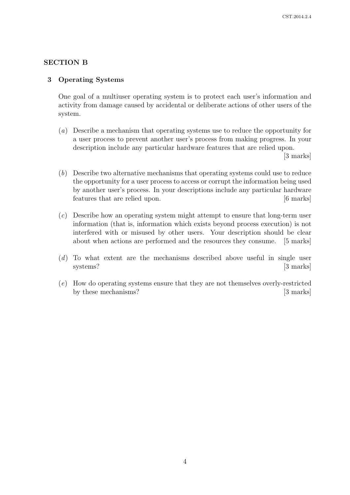# SECTION B

### 3 Operating Systems

One goal of a multiuser operating system is to protect each user's information and activity from damage caused by accidental or deliberate actions of other users of the system.

(a) Describe a mechanism that operating systems use to reduce the opportunity for a user process to prevent another user's process from making progress. In your description include any particular hardware features that are relied upon.

[3 marks]

- (b) Describe two alternative mechanisms that operating systems could use to reduce the opportunity for a user process to access or corrupt the information being used by another user's process. In your descriptions include any particular hardware features that are relied upon. [6 marks]
- (c) Describe how an operating system might attempt to ensure that long-term user information (that is, information which exists beyond process execution) is not interfered with or misused by other users. Your description should be clear about when actions are performed and the resources they consume. [5 marks]
- (d) To what extent are the mechanisms described above useful in single user systems? [3 marks]
- (e) How do operating systems ensure that they are not themselves overly-restricted by these mechanisms? [3 marks]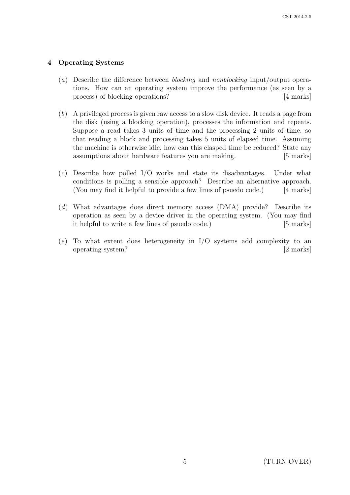# 4 Operating Systems

- (a) Describe the difference between blocking and nonblocking input/output operations. How can an operating system improve the performance (as seen by a process) of blocking operations? [4 marks]
- (b) A privileged process is given raw access to a slow disk device. It reads a page from the disk (using a blocking operation), processes the information and repeats. Suppose a read takes 3 units of time and the processing 2 units of time, so that reading a block and processing takes 5 units of elapsed time. Assuming the machine is otherwise idle, how can this elasped time be reduced? State any assumptions about hardware features you are making. [5 marks]
- (c) Describe how polled I/O works and state its disadvantages. Under what conditions is polling a sensible approach? Describe an alternative approach. (You may find it helpful to provide a few lines of psuedo code.) [4 marks]
- (d) What advantages does direct memory access (DMA) provide? Describe its operation as seen by a device driver in the operating system. (You may find it helpful to write a few lines of psuedo code.) [5 marks]
- (e) To what extent does heterogeneity in I/O systems add complexity to an operating system? [2 marks]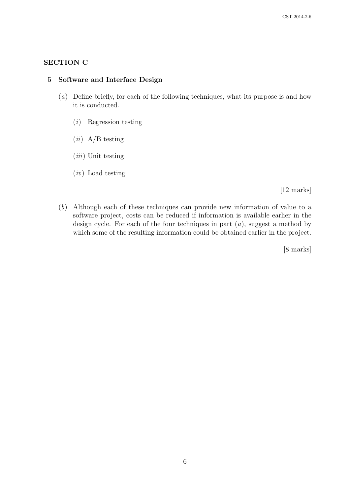# SECTION C

### 5 Software and Interface Design

- (a) Define briefly, for each of the following techniques, what its purpose is and how it is conducted.
	- (i) Regression testing
	- $(ii)$  A/B testing
	- (iii) Unit testing
	- (iv) Load testing

[12 marks]

(b) Although each of these techniques can provide new information of value to a software project, costs can be reduced if information is available earlier in the design cycle. For each of the four techniques in part  $(a)$ , suggest a method by which some of the resulting information could be obtained earlier in the project.

[8 marks]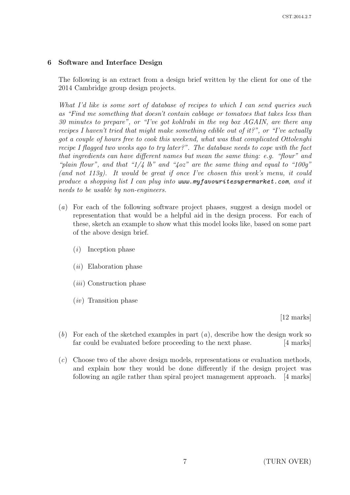# 6 Software and Interface Design

The following is an extract from a design brief written by the client for one of the 2014 Cambridge group design projects.

What I'd like is some sort of database of recipes to which I can send queries such as "Find me something that doesn't contain cabbage or tomatoes that takes less than 30 minutes to prepare", or "I've got kohlrabi in the veg box AGAIN, are there any recipes I haven't tried that might make something edible out of it?", or "I've actually got a couple of hours free to cook this weekend, what was that complicated Ottolenghi recipe I flagged two weeks ago to try later?". The database needs to cope with the fact that ingredients can have different names but mean the same thing: e.g. "flour" and "plain flour", and that " $1/4$  lb" and " $4oz$ " are the same thing and equal to "100g" (and not 113g). It would be great if once I've chosen this week's menu, it could produce a shopping list I can plug into www.myfavouritesupermarket.com, and it needs to be usable by non-engineers.

- (a) For each of the following software project phases, suggest a design model or representation that would be a helpful aid in the design process. For each of these, sketch an example to show what this model looks like, based on some part of the above design brief.
	- (i) Inception phase
	- (ii) Elaboration phase
	- (iii) Construction phase
	- (iv) Transition phase

[12 marks]

- (b) For each of the sketched examples in part  $(a)$ , describe how the design work so far could be evaluated before proceeding to the next phase. [4 marks]
- (c) Choose two of the above design models, representations or evaluation methods, and explain how they would be done differently if the design project was following an agile rather than spiral project management approach. [4 marks]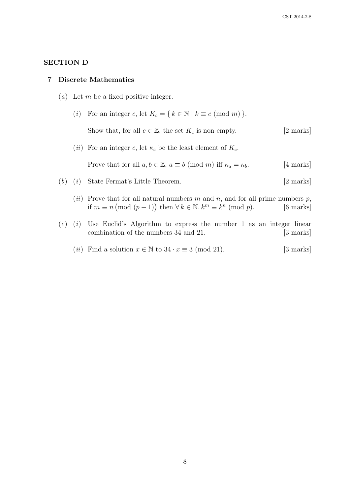# SECTION D

### 7 Discrete Mathematics

- (a) Let m be a fixed positive integer.
	- (i) For an integer c, let  $K_c = \{ k \in \mathbb{N} \mid k \equiv c \pmod{m} \}.$ Show that, for all  $c \in \mathbb{Z}$ , the set  $K_c$  is non-empty. [2 marks] (*ii*) For an integer c, let  $\kappa_c$  be the least element of  $K_c$ .

Prove that for all  $a, b \in \mathbb{Z}$ ,  $a \equiv b \pmod{m}$  iff  $\kappa_a = \kappa_b$ . [4 marks]

- (b) (i) State Fermat's Little Theorem. [2 marks]
	- (ii) Prove that for all natural numbers  $m$  and  $n$ , and for all prime numbers  $p$ , if  $m \equiv n \pmod{(p-1)}$  then  $\forall k \in \mathbb{N}$ .  $k^m \equiv k^n \pmod{p}$ . [6 marks]
- $(c)$  (i) Use Euclid's Algorithm to express the number 1 as an integer linear combination of the numbers 34 and 21. [3 marks]
	- (*ii*) Find a solution  $x \in \mathbb{N}$  to  $34 \cdot x \equiv 3 \pmod{21}$ . [3 marks]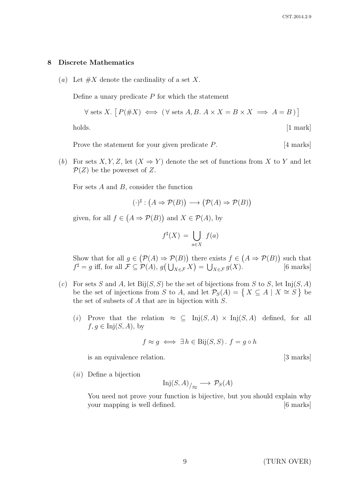### 8 Discrete Mathematics

(a) Let  $\#X$  denote the cardinality of a set X.

Define a unary predicate  $P$  for which the statement

$$
\forall \text{ sets } X. \ [P(\#X) \iff (\forall \text{ sets } A, B. A \times X = B \times X \implies A = B)]
$$

Prove the statement for your given predicate  $P$ . [4 marks]

(b) For sets X, Y, Z, let  $(X \Rightarrow Y)$  denote the set of functions from X to Y and let  $\mathcal{P}(Z)$  be the powerset of Z.

For sets  $A$  and  $B$ , consider the function

$$
(\cdot)^{\sharp} : (A \Rightarrow \mathcal{P}(B)) \longrightarrow (\mathcal{P}(A) \Rightarrow \mathcal{P}(B))
$$

given, for all  $f \in (A \Rightarrow \mathcal{P}(B))$  and  $X \in \mathcal{P}(A)$ , by

$$
f^{\sharp}(X) = \bigcup_{a \in X} f(a)
$$

Show that for all  $g \in (\mathcal{P}(A) \Rightarrow \mathcal{P}(B))$  there exists  $f \in (A \Rightarrow \mathcal{P}(B))$  such that  $f^{\sharp} = g$  iff, for all  $\mathcal{F} \subseteq \mathcal{P}(A), g(\bigcup_{X \in \mathcal{F}} X) = \bigcup_{X \in \mathcal{F}} g(X).$  [6 marks]

- (c) For sets S and A, let  $\text{Bij}(S, S)$  be the set of bijections from S to S, let  $\text{Inj}(S, A)$ be the set of injections from S to A, and let  $\mathcal{P}_S(A) = \{ X \subseteq A \mid X \cong S \}$  be the set of subsets of A that are in bijection with S.
	- (i) Prove that the relation  $\approx \subseteq \text{Inj}(S, A) \times \text{Inj}(S, A)$  defined, for all  $f, g \in Inj(S, A),$  by

$$
f \approx g \iff \exists h \in \text{Bij}(S, S) \cdot f = g \circ h
$$

is an equivalence relation. [3 marks]

 $(ii)$  Define a bijection

$$
\mathrm{Inj}(S,A)_{\big/\approx} \longrightarrow \mathcal{P}_S(A)
$$

You need not prove your function is bijective, but you should explain why your mapping is well defined. [6 marks]

9 (TURN OVER)

holds. [1 mark]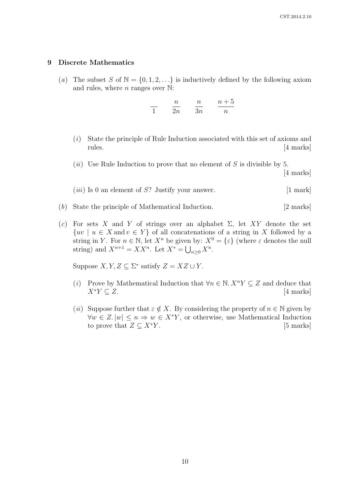### 9 Discrete Mathematics

(a) The subset S of  $\mathbb{N} = \{0, 1, 2, \ldots\}$  is inductively defined by the following axiom and rules, where  $n$  ranges over  $\mathbb{N}$ :

> 1 n  $2n$ n  $3n$  $n+5$ n

- (i) State the principle of Rule Induction associated with this set of axioms and rules. [4 marks]
- (*ii*) Use Rule Induction to prove that no element of S is divisible by 5. [4 marks]
- $(iii)$  Is 0 an element of S? Justify your answer. [1 mark]
- (b) State the principle of Mathematical Induction. [2 marks]
- (c) For sets X and Y of strings over an alphabet  $\Sigma$ , let XY denote the set  $\{uv \mid u \in X \text{ and } v \in Y\}$  of all concatenations of a string in X followed by a string in Y. For  $n \in \mathbb{N}$ , let  $X^n$  be given by:  $X^0 = \{\varepsilon\}$  (where  $\varepsilon$  denotes the null string) and  $X^{n+1} = XX^n$ . Let  $X^* = \bigcup_{n\geq 0} X^n$ .

Suppose  $X, Y, Z \subseteq \Sigma^*$  satisfy  $Z = XZ \cup Y$ .

- (i) Prove by Mathematical Induction that  $\forall n \in \mathbb{N}$ .  $X^n Y \subseteq Z$  and deduce that  $X^*Y \subseteq Z$ . [4 marks]
- (ii) Suppose further that  $\varepsilon \notin X$ . By considering the property of  $n \in \mathbb{N}$  given by  $\forall w \in Z$ .  $|w| \leq n \Rightarrow w \in X^*Y$ , or otherwise, use Mathematical Induction to prove that  $Z \subset X^*Y$ . [5 marks]